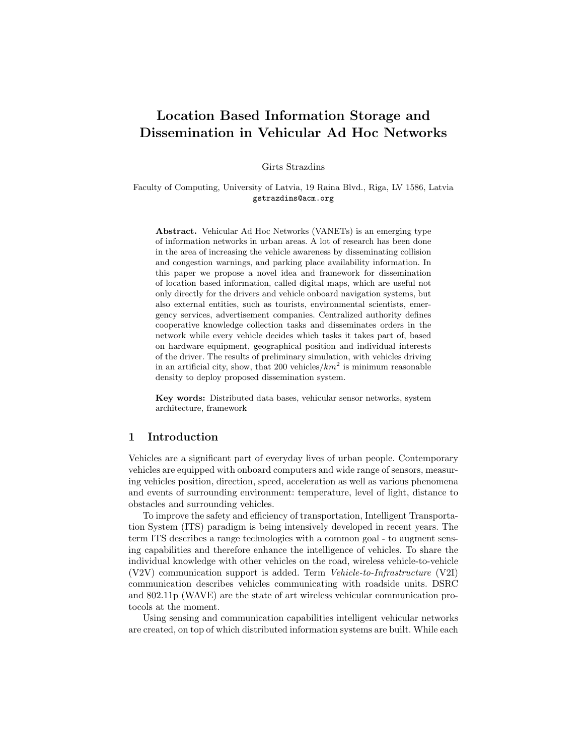# Location Based Information Storage and Dissemination in Vehicular Ad Hoc Networks

Girts Strazdins

Faculty of Computing, University of Latvia, 19 Raina Blvd., Riga, LV 1586, Latvia gstrazdins@acm.org

Abstract. Vehicular Ad Hoc Networks (VANETs) is an emerging type of information networks in urban areas. A lot of research has been done in the area of increasing the vehicle awareness by disseminating collision and congestion warnings, and parking place availability information. In this paper we propose a novel idea and framework for dissemination of location based information, called digital maps, which are useful not only directly for the drivers and vehicle onboard navigation systems, but also external entities, such as tourists, environmental scientists, emergency services, advertisement companies. Centralized authority defines cooperative knowledge collection tasks and disseminates orders in the network while every vehicle decides which tasks it takes part of, based on hardware equipment, geographical position and individual interests of the driver. The results of preliminary simulation, with vehicles driving in an artificial city, show, that 200 vehicles/ $km^2$  is minimum reasonable density to deploy proposed dissemination system.

Key words: Distributed data bases, vehicular sensor networks, system architecture, framework

#### 1 Introduction

Vehicles are a significant part of everyday lives of urban people. Contemporary vehicles are equipped with onboard computers and wide range of sensors, measuring vehicles position, direction, speed, acceleration as well as various phenomena and events of surrounding environment: temperature, level of light, distance to obstacles and surrounding vehicles.

To improve the safety and efficiency of transportation, Intelligent Transportation System (ITS) paradigm is being intensively developed in recent years. The term ITS describes a range technologies with a common goal - to augment sensing capabilities and therefore enhance the intelligence of vehicles. To share the individual knowledge with other vehicles on the road, wireless vehicle-to-vehicle (V2V) communication support is added. Term Vehicle-to-Infrastructure (V2I) communication describes vehicles communicating with roadside units. DSRC and 802.11p (WAVE) are the state of art wireless vehicular communication protocols at the moment.

Using sensing and communication capabilities intelligent vehicular networks are created, on top of which distributed information systems are built. While each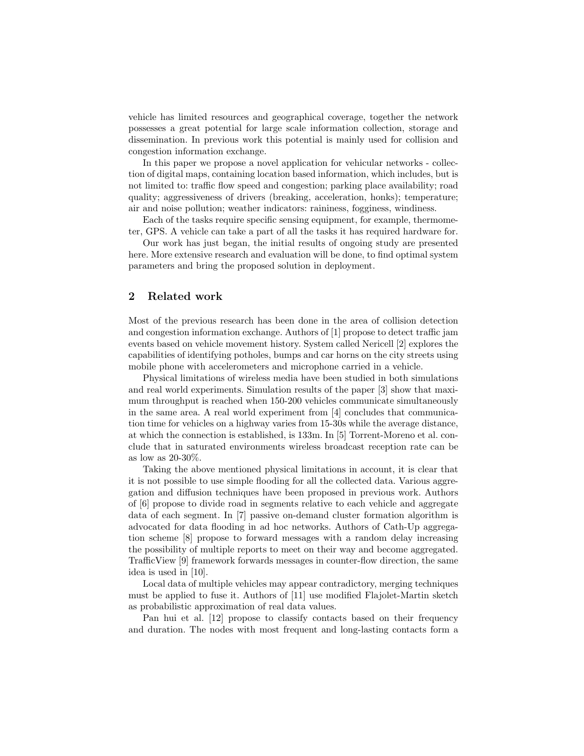vehicle has limited resources and geographical coverage, together the network possesses a great potential for large scale information collection, storage and dissemination. In previous work this potential is mainly used for collision and congestion information exchange.

In this paper we propose a novel application for vehicular networks - collection of digital maps, containing location based information, which includes, but is not limited to: traffic flow speed and congestion; parking place availability; road quality; aggressiveness of drivers (breaking, acceleration, honks); temperature; air and noise pollution; weather indicators: raininess, fogginess, windiness.

Each of the tasks require specific sensing equipment, for example, thermometer, GPS. A vehicle can take a part of all the tasks it has required hardware for.

Our work has just began, the initial results of ongoing study are presented here. More extensive research and evaluation will be done, to find optimal system parameters and bring the proposed solution in deployment.

# 2 Related work

Most of the previous research has been done in the area of collision detection and congestion information exchange. Authors of [1] propose to detect traffic jam events based on vehicle movement history. System called Nericell [2] explores the capabilities of identifying potholes, bumps and car horns on the city streets using mobile phone with accelerometers and microphone carried in a vehicle.

Physical limitations of wireless media have been studied in both simulations and real world experiments. Simulation results of the paper [3] show that maximum throughput is reached when 150-200 vehicles communicate simultaneously in the same area. A real world experiment from [4] concludes that communication time for vehicles on a highway varies from 15-30s while the average distance, at which the connection is established, is 133m. In [5] Torrent-Moreno et al. conclude that in saturated environments wireless broadcast reception rate can be as low as 20-30%.

Taking the above mentioned physical limitations in account, it is clear that it is not possible to use simple flooding for all the collected data. Various aggregation and diffusion techniques have been proposed in previous work. Authors of [6] propose to divide road in segments relative to each vehicle and aggregate data of each segment. In [7] passive on-demand cluster formation algorithm is advocated for data flooding in ad hoc networks. Authors of Cath-Up aggregation scheme [8] propose to forward messages with a random delay increasing the possibility of multiple reports to meet on their way and become aggregated. TrafficView [9] framework forwards messages in counter-flow direction, the same idea is used in [10].

Local data of multiple vehicles may appear contradictory, merging techniques must be applied to fuse it. Authors of [11] use modified Flajolet-Martin sketch as probabilistic approximation of real data values.

Pan hui et al. [12] propose to classify contacts based on their frequency and duration. The nodes with most frequent and long-lasting contacts form a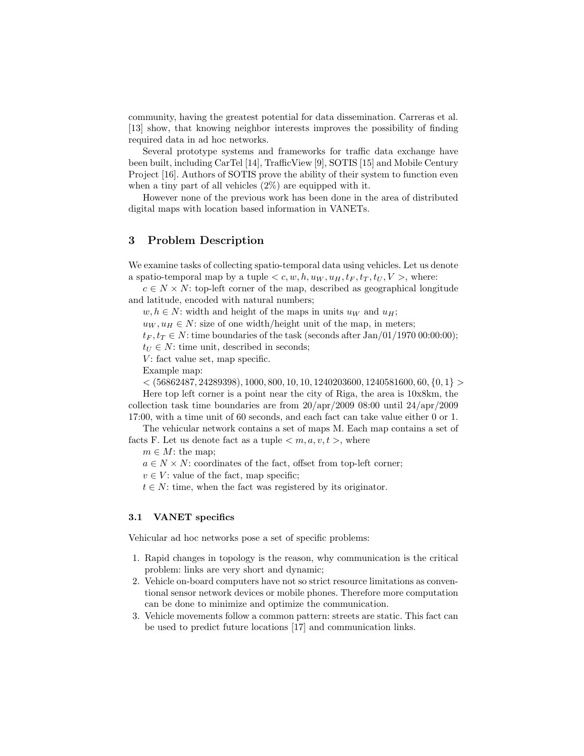community, having the greatest potential for data dissemination. Carreras et al. [13] show, that knowing neighbor interests improves the possibility of finding required data in ad hoc networks.

Several prototype systems and frameworks for traffic data exchange have been built, including CarTel [14], TrafficView [9], SOTIS [15] and Mobile Century Project [16]. Authors of SOTIS prove the ability of their system to function even when a tiny part of all vehicles (2%) are equipped with it.

However none of the previous work has been done in the area of distributed digital maps with location based information in VANETs.

# 3 Problem Description

We examine tasks of collecting spatio-temporal data using vehicles. Let us denote a spatio-temporal map by a tuple  $\langle c, w, h, u_W, u_H, t_F, t_T, t_U, V \rangle$ , where:

 $c \in N \times N$ : top-left corner of the map, described as geographical longitude and latitude, encoded with natural numbers;

 $w, h \in N$ : width and height of the maps in units  $u_W$  and  $u_H$ ;

 $u_W, u_H \in N$ : size of one width/height unit of the map, in meters;

 $t_F, t_T \in \mathbb{N}$ : time boundaries of the task (seconds after Jan/01/1970 00:00:00);

 $t_U \in N$ : time unit, described in seconds;

 $V$ : fact value set, map specific.

Example map:

 $<$  (56862487, 24289398), 1000, 800, 10, 10, 1240203600, 1240581600, 60, {0, 1}  $>$ 

Here top left corner is a point near the city of Riga, the area is 10x8km, the collection task time boundaries are from  $20/apr/2009 08:00$  until  $24/apr/2009$ 17:00, with a time unit of 60 seconds, and each fact can take value either 0 or 1.

The vehicular network contains a set of maps M. Each map contains a set of facts F. Let us denote fact as a tuple  $\langle m, a, v, t \rangle$ , where

 $m \in M$ : the map;

 $a \in N \times N$ : coordinates of the fact, offset from top-left corner;

 $v \in V$ : value of the fact, map specific;

 $t \in N$ : time, when the fact was registered by its originator.

#### 3.1 VANET specifics

Vehicular ad hoc networks pose a set of specific problems:

- 1. Rapid changes in topology is the reason, why communication is the critical problem: links are very short and dynamic;
- 2. Vehicle on-board computers have not so strict resource limitations as conventional sensor network devices or mobile phones. Therefore more computation can be done to minimize and optimize the communication.
- 3. Vehicle movements follow a common pattern: streets are static. This fact can be used to predict future locations [17] and communication links.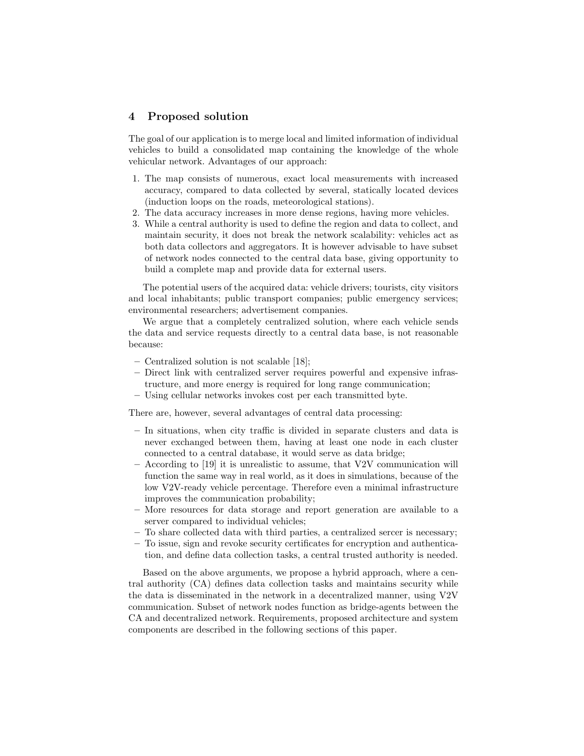# 4 Proposed solution

The goal of our application is to merge local and limited information of individual vehicles to build a consolidated map containing the knowledge of the whole vehicular network. Advantages of our approach:

- 1. The map consists of numerous, exact local measurements with increased accuracy, compared to data collected by several, statically located devices (induction loops on the roads, meteorological stations).
- 2. The data accuracy increases in more dense regions, having more vehicles.
- 3. While a central authority is used to define the region and data to collect, and maintain security, it does not break the network scalability: vehicles act as both data collectors and aggregators. It is however advisable to have subset of network nodes connected to the central data base, giving opportunity to build a complete map and provide data for external users.

The potential users of the acquired data: vehicle drivers; tourists, city visitors and local inhabitants; public transport companies; public emergency services; environmental researchers; advertisement companies.

We argue that a completely centralized solution, where each vehicle sends the data and service requests directly to a central data base, is not reasonable because:

- Centralized solution is not scalable [18];
- Direct link with centralized server requires powerful and expensive infrastructure, and more energy is required for long range communication;
- Using cellular networks invokes cost per each transmitted byte.

There are, however, several advantages of central data processing:

- In situations, when city traffic is divided in separate clusters and data is never exchanged between them, having at least one node in each cluster connected to a central database, it would serve as data bridge;
- According to [19] it is unrealistic to assume, that V2V communication will function the same way in real world, as it does in simulations, because of the low V2V-ready vehicle percentage. Therefore even a minimal infrastructure improves the communication probability;
- More resources for data storage and report generation are available to a server compared to individual vehicles;
- To share collected data with third parties, a centralized sercer is necessary;
- To issue, sign and revoke security certificates for encryption and authentication, and define data collection tasks, a central trusted authority is needed.

Based on the above arguments, we propose a hybrid approach, where a central authority (CA) defines data collection tasks and maintains security while the data is disseminated in the network in a decentralized manner, using V2V communication. Subset of network nodes function as bridge-agents between the CA and decentralized network. Requirements, proposed architecture and system components are described in the following sections of this paper.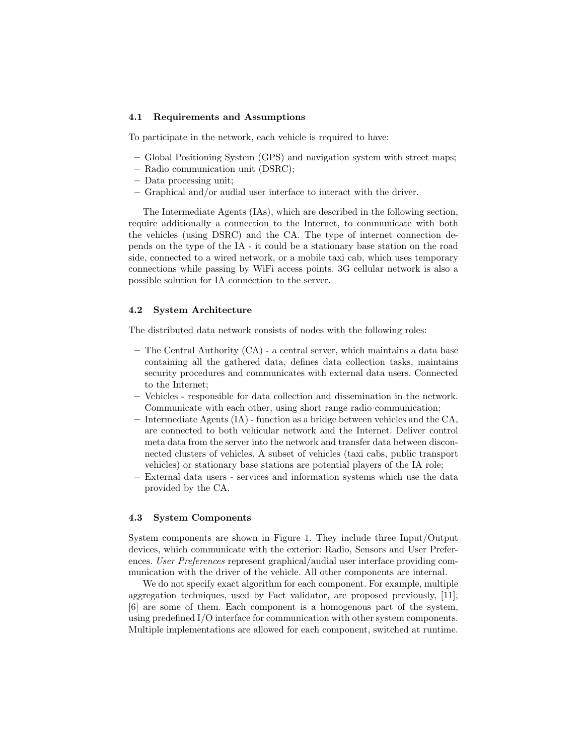#### 4.1 Requirements and Assumptions

To participate in the network, each vehicle is required to have:

- Global Positioning System (GPS) and navigation system with street maps;
- Radio communication unit (DSRC);
- Data processing unit;
- Graphical and/or audial user interface to interact with the driver.

The Intermediate Agents (IAs), which are described in the following section, require additionally a connection to the Internet, to communicate with both the vehicles (using DSRC) and the CA. The type of internet connection depends on the type of the IA - it could be a stationary base station on the road side, connected to a wired network, or a mobile taxi cab, which uses temporary connections while passing by WiFi access points. 3G cellular network is also a possible solution for IA connection to the server.

#### 4.2 System Architecture

The distributed data network consists of nodes with the following roles:

- The Central Authority (CA) a central server, which maintains a data base containing all the gathered data, defines data collection tasks, maintains security procedures and communicates with external data users. Connected to the Internet;
- Vehicles responsible for data collection and dissemination in the network. Communicate with each other, using short range radio communication;
- Intermediate Agents (IA) function as a bridge between vehicles and the CA, are connected to both vehicular network and the Internet. Deliver control meta data from the server into the network and transfer data between disconnected clusters of vehicles. A subset of vehicles (taxi cabs, public transport vehicles) or stationary base stations are potential players of the IA role;
- External data users services and information systems which use the data provided by the CA.

#### 4.3 System Components

System components are shown in Figure 1. They include three Input/Output devices, which communicate with the exterior: Radio, Sensors and User Preferences. User Preferences represent graphical/audial user interface providing communication with the driver of the vehicle. All other components are internal.

We do not specify exact algorithm for each component. For example, multiple aggregation techniques, used by Fact validator, are proposed previously, [11], [6] are some of them. Each component is a homogenous part of the system, using predefined I/O interface for communication with other system components. Multiple implementations are allowed for each component, switched at runtime.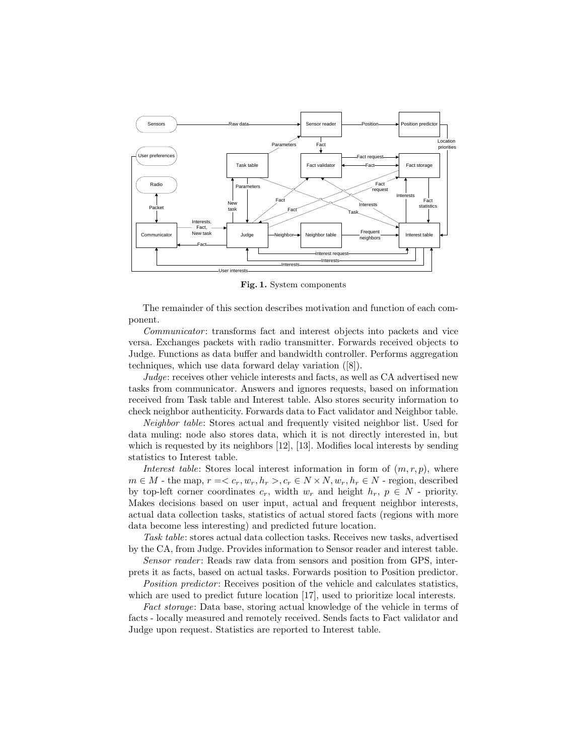

Fig. 1. System components

The remainder of this section describes motivation and function of each component.

Communicator: transforms fact and interest objects into packets and vice versa. Exchanges packets with radio transmitter. Forwards received objects to Judge. Functions as data buffer and bandwidth controller. Performs aggregation techniques, which use data forward delay variation ([8]).

Judge: receives other vehicle interests and facts, as well as CA advertised new tasks from communicator. Answers and ignores requests, based on information received from Task table and Interest table. Also stores security information to check neighbor authenticity. Forwards data to Fact validator and Neighbor table.

Neighbor table: Stores actual and frequently visited neighbor list. Used for data muling: node also stores data, which it is not directly interested in, but which is requested by its neighbors [12], [13]. Modifies local interests by sending statistics to Interest table.

Interest table: Stores local interest information in form of  $(m, r, p)$ , where  $m \in M$  - the map,  $r = \langle c_r, w_r, h_r \rangle, c_r \in N \times N, w_r, h_r \in N$  - region, described by top-left corner coordinates  $c_r$ , width  $w_r$  and height  $h_r$ ,  $p \in N$  - priority. Makes decisions based on user input, actual and frequent neighbor interests, actual data collection tasks, statistics of actual stored facts (regions with more data become less interesting) and predicted future location.

Task table: stores actual data collection tasks. Receives new tasks, advertised by the CA, from Judge. Provides information to Sensor reader and interest table.

Sensor reader : Reads raw data from sensors and position from GPS, interprets it as facts, based on actual tasks. Forwards position to Position predictor.

Position predictor: Receives position of the vehicle and calculates statistics, which are used to predict future location [17], used to prioritize local interests.

Fact storage: Data base, storing actual knowledge of the vehicle in terms of facts - locally measured and remotely received. Sends facts to Fact validator and Judge upon request. Statistics are reported to Interest table.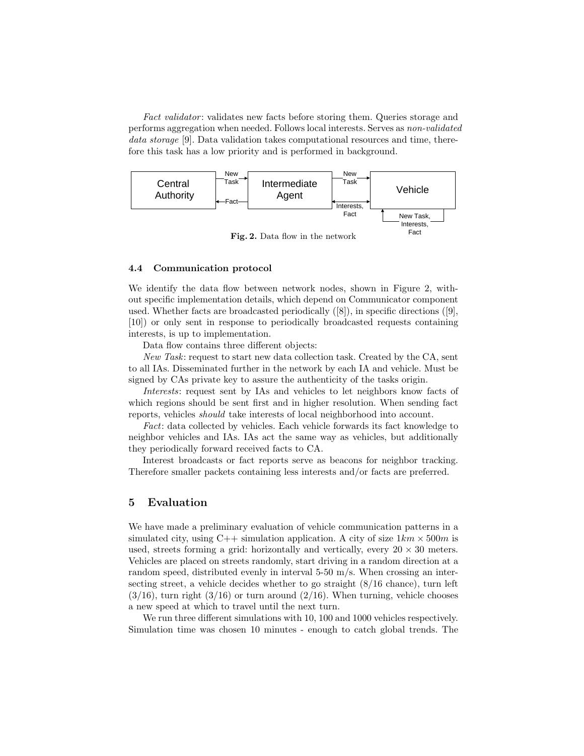Fact validator: validates new facts before storing them. Queries storage and performs aggregation when needed. Follows local interests. Serves as non-validated data storage [9]. Data validation takes computational resources and time, therefore this task has a low priority and is performed in background.



Fig. 2. Data flow in the network

#### 4.4 Communication protocol

We identify the data flow between network nodes, shown in Figure 2, without specific implementation details, which depend on Communicator component used. Whether facts are broadcasted periodically ([8]), in specific directions ([9], [10]) or only sent in response to periodically broadcasted requests containing interests, is up to implementation.

Data flow contains three different objects:

New Task: request to start new data collection task. Created by the CA, sent to all IAs. Disseminated further in the network by each IA and vehicle. Must be signed by CAs private key to assure the authenticity of the tasks origin.

Interests: request sent by IAs and vehicles to let neighbors know facts of which regions should be sent first and in higher resolution. When sending fact reports, vehicles should take interests of local neighborhood into account.

Fact: data collected by vehicles. Each vehicle forwards its fact knowledge to neighbor vehicles and IAs. IAs act the same way as vehicles, but additionally they periodically forward received facts to CA.

Interest broadcasts or fact reports serve as beacons for neighbor tracking. Therefore smaller packets containing less interests and/or facts are preferred.

### 5 Evaluation

We have made a preliminary evaluation of vehicle communication patterns in a simulated city, using  $C_{++}$  simulation application. A city of size  $1km \times 500m$  is used, streets forming a grid: horizontally and vertically, every  $20 \times 30$  meters. Vehicles are placed on streets randomly, start driving in a random direction at a random speed, distributed evenly in interval 5-50 m/s. When crossing an intersecting street, a vehicle decides whether to go straight (8/16 chance), turn left  $(3/16)$ , turn right  $(3/16)$  or turn around  $(2/16)$ . When turning, vehicle chooses a new speed at which to travel until the next turn.

We run three different simulations with 10, 100 and 1000 vehicles respectively. Simulation time was chosen 10 minutes - enough to catch global trends. The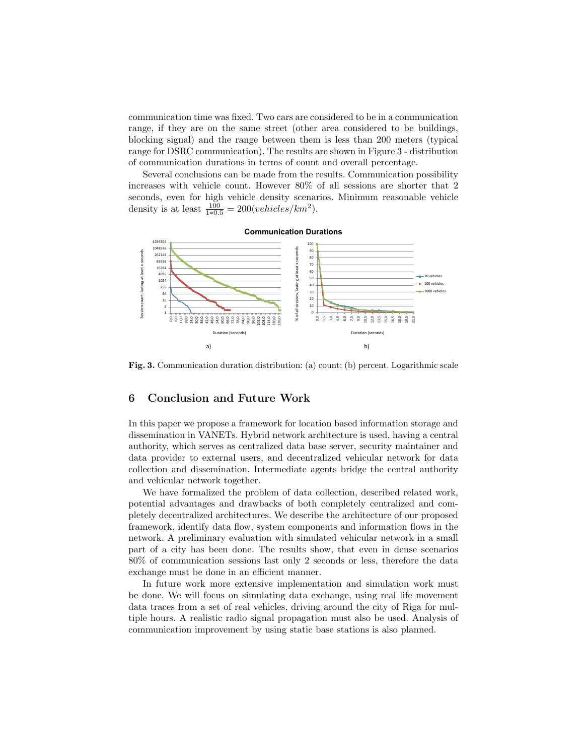communication time was fixed. Two cars are considered to be in a communication range, if they are on the same street (other area considered to be buildings, blocking signal) and the range between them is less than 200 meters (typical range for DSRC communication). The results are shown in Figure 3 - distribution of communication durations in terms of count and overall percentage.

Several conclusions can be made from the results. Communication possibility increases with vehicle count. However 80% of all sessions are shorter that 2 seconds, even for high vehicle density scenarios. Minimum reasonable vehicle density is at least  $\frac{100}{1*0.5} = 200(vehicles/km^2)$ .



Fig. 3. Communication duration distribution: (a) count; (b) percent. Logarithmic scale

# 6 Conclusion and Future Work

In this paper we propose a framework for location based information storage and dissemination in VANETs. Hybrid network architecture is used, having a central authority, which serves as centralized data base server, security maintainer and data provider to external users, and decentralized vehicular network for data collection and dissemination. Intermediate agents bridge the central authority and vehicular network together.

We have formalized the problem of data collection, described related work, potential advantages and drawbacks of both completely centralized and completely decentralized architectures. We describe the architecture of our proposed framework, identify data flow, system components and information flows in the network. A preliminary evaluation with simulated vehicular network in a small part of a city has been done. The results show, that even in dense scenarios 80% of communication sessions last only 2 seconds or less, therefore the data exchange must be done in an efficient manner.

In future work more extensive implementation and simulation work must be done. We will focus on simulating data exchange, using real life movement data traces from a set of real vehicles, driving around the city of Riga for multiple hours. A realistic radio signal propagation must also be used. Analysis of communication improvement by using static base stations is also planned.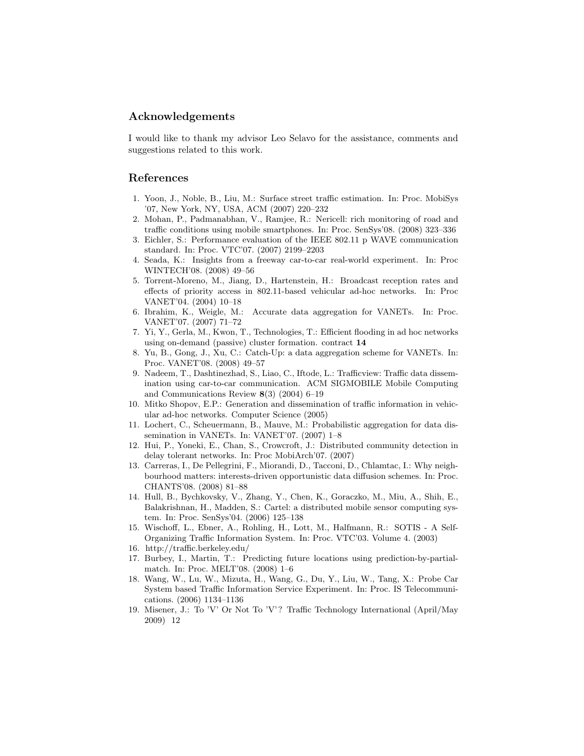# Acknowledgements

I would like to thank my advisor Leo Selavo for the assistance, comments and suggestions related to this work.

# References

- 1. Yoon, J., Noble, B., Liu, M.: Surface street traffic estimation. In: Proc. MobiSys '07, New York, NY, USA, ACM (2007) 220–232
- 2. Mohan, P., Padmanabhan, V., Ramjee, R.: Nericell: rich monitoring of road and traffic conditions using mobile smartphones. In: Proc. SenSys'08. (2008) 323–336
- 3. Eichler, S.: Performance evaluation of the IEEE 802.11 p WAVE communication standard. In: Proc. VTC'07. (2007) 2199–2203
- 4. Seada, K.: Insights from a freeway car-to-car real-world experiment. In: Proc WINTECH'08. (2008) 49–56
- 5. Torrent-Moreno, M., Jiang, D., Hartenstein, H.: Broadcast reception rates and effects of priority access in 802.11-based vehicular ad-hoc networks. In: Proc VANET'04. (2004) 10–18
- 6. Ibrahim, K., Weigle, M.: Accurate data aggregation for VANETs. In: Proc. VANET'07. (2007) 71–72
- 7. Yi, Y., Gerla, M., Kwon, T., Technologies, T.: Efficient flooding in ad hoc networks using on-demand (passive) cluster formation. contract 14
- 8. Yu, B., Gong, J., Xu, C.: Catch-Up: a data aggregation scheme for VANETs. In: Proc. VANET'08. (2008) 49–57
- 9. Nadeem, T., Dashtinezhad, S., Liao, C., Iftode, L.: Trafficview: Traffic data dissemination using car-to-car communication. ACM SIGMOBILE Mobile Computing and Communications Review 8(3) (2004) 6–19
- 10. Mitko Shopov, E.P.: Generation and dissemination of traffic information in vehicular ad-hoc networks. Computer Science (2005)
- 11. Lochert, C., Scheuermann, B., Mauve, M.: Probabilistic aggregation for data dissemination in VANETs. In: VANET'07. (2007) 1-8
- 12. Hui, P., Yoneki, E., Chan, S., Crowcroft, J.: Distributed community detection in delay tolerant networks. In: Proc MobiArch'07. (2007)
- 13. Carreras, I., De Pellegrini, F., Miorandi, D., Tacconi, D., Chlamtac, I.: Why neighbourhood matters: interests-driven opportunistic data diffusion schemes. In: Proc. CHANTS'08. (2008) 81–88
- 14. Hull, B., Bychkovsky, V., Zhang, Y., Chen, K., Goraczko, M., Miu, A., Shih, E., Balakrishnan, H., Madden, S.: Cartel: a distributed mobile sensor computing system. In: Proc. SenSys'04. (2006) 125–138
- 15. Wischoff, L., Ebner, A., Rohling, H., Lott, M., Halfmann, R.: SOTIS A Self-Organizing Traffic Information System. In: Proc. VTC'03. Volume 4. (2003)
- 16. http://traffic.berkeley.edu/
- 17. Burbey, I., Martin, T.: Predicting future locations using prediction-by-partialmatch. In: Proc. MELT'08. (2008) 1–6
- 18. Wang, W., Lu, W., Mizuta, H., Wang, G., Du, Y., Liu, W., Tang, X.: Probe Car System based Traffic Information Service Experiment. In: Proc. IS Telecommunications. (2006) 1134–1136
- 19. Misener, J.: To 'V' Or Not To 'V'? Traffic Technology International (April/May 2009) 12